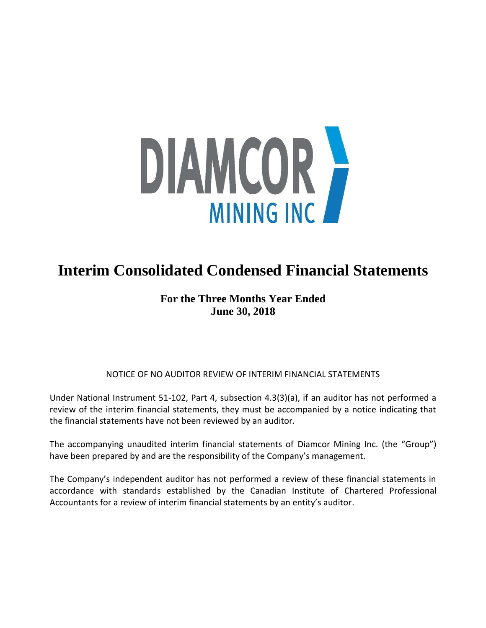

# **Interim Consolidated Condensed Financial Statements**

# **For the Three Months Year Ended June 30, 2018**

# NOTICE OF NO AUDITOR REVIEW OF INTERIM FINANCIAL STATEMENTS

Under National Instrument 51-102, Part 4, subsection 4.3(3)(a), if an auditor has not performed a review of the interim financial statements, they must be accompanied by a notice indicating that the financial statements have not been reviewed by an auditor.

The accompanying unaudited interim financial statements of Diamcor Mining Inc. (the "Group") have been prepared by and are the responsibility of the Company's management.

The Company's independent auditor has not performed a review of these financial statements in accordance with standards established by the Canadian Institute of Chartered Professional Accountants for a review of interim financial statements by an entity's auditor.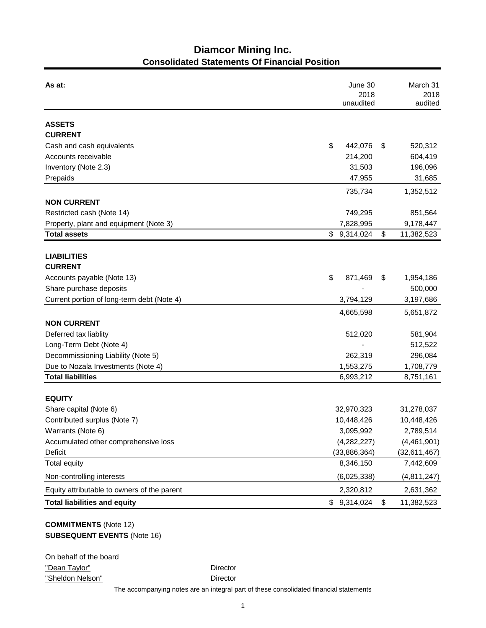# **Diamcor Mining Inc. Consolidated Statements Of Financial Position**

| As at:                                          | June 30<br>2018<br>unaudited | March 31<br>2018<br>audited   |  |
|-------------------------------------------------|------------------------------|-------------------------------|--|
| <b>ASSETS</b>                                   |                              |                               |  |
| <b>CURRENT</b>                                  |                              |                               |  |
| Cash and cash equivalents                       | \$<br>442,076                | \$<br>520,312                 |  |
| Accounts receivable                             | 214,200                      | 604,419                       |  |
| Inventory (Note 2.3)                            | 31,503                       | 196,096                       |  |
| Prepaids                                        | 47,955                       | 31,685                        |  |
|                                                 | 735,734                      | 1,352,512                     |  |
| <b>NON CURRENT</b>                              |                              |                               |  |
| Restricted cash (Note 14)                       | 749,295                      | 851,564                       |  |
| Property, plant and equipment (Note 3)          | 7,828,995                    | 9,178,447                     |  |
| <b>Total assets</b>                             | \$9,314,024                  | \$<br>11,382,523              |  |
| <b>LIABILITIES</b>                              |                              |                               |  |
| <b>CURRENT</b>                                  |                              |                               |  |
| Accounts payable (Note 13)                      | \$<br>871,469                | \$<br>1,954,186               |  |
| Share purchase deposits                         |                              | 500,000                       |  |
| Current portion of long-term debt (Note 4)      | 3,794,129                    | 3,197,686                     |  |
|                                                 | 4,665,598                    | 5,651,872                     |  |
| <b>NON CURRENT</b>                              |                              |                               |  |
| Deferred tax liablity                           | 512,020                      | 581,904                       |  |
| Long-Term Debt (Note 4)                         |                              | 512,522                       |  |
| Decommissioning Liability (Note 5)              | 262,319                      | 296,084                       |  |
| Due to Nozala Investments (Note 4)              | 1,553,275                    | 1,708,779                     |  |
| <b>Total liabilities</b>                        | 6,993,212                    | 8,751,161                     |  |
|                                                 |                              |                               |  |
| <b>EQUITY</b>                                   |                              |                               |  |
| Share capital (Note 6)                          | 32,970,323                   | 31,278,037                    |  |
| Contributed surplus (Note 7)                    | 10,448,426                   | 10,448,426                    |  |
| Warrants (Note 6)                               | 3,095,992                    | 2,789,514                     |  |
| Accumulated other comprehensive loss<br>Deficit | (4,282,227)                  | (4,461,901)<br>(32, 611, 467) |  |
| <b>Total equity</b>                             | (33,886,364)<br>8,346,150    | 7,442,609                     |  |
| Non-controlling interests                       | (6,025,338)                  | (4,811,247)                   |  |
| Equity attributable to owners of the parent     | 2,320,812                    | 2,631,362                     |  |
| <b>Total liabilities and equity</b>             | 9,314,024<br>\$              | \$<br>11,382,523              |  |
|                                                 |                              |                               |  |

# **COMMITMENTS** (Note 12) **SUBSEQUENT EVENTS** (Note 16)

| On behalf of the board |  |
|------------------------|--|
| "Dean Taylor"          |  |
| "Sheldon Nelson"       |  |

Director

Director

The accompanying notes are an integral part of these consolidated financial statements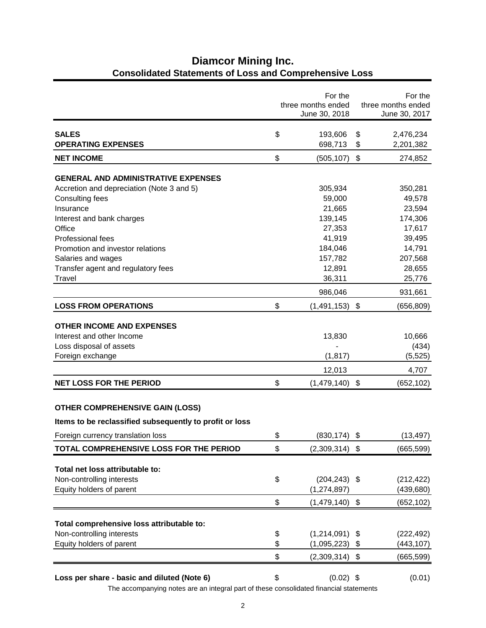|                                                         | For the<br>three months ended<br>June 30, 2018 |                           | For the<br>three months ended<br>June 30, 2017 |
|---------------------------------------------------------|------------------------------------------------|---------------------------|------------------------------------------------|
| <b>SALES</b>                                            | \$<br>193,606                                  | \$                        | 2,476,234                                      |
| <b>OPERATING EXPENSES</b>                               | 698,713                                        | \$                        | 2,201,382                                      |
| <b>NET INCOME</b>                                       | \$<br>(505, 107)                               | $\boldsymbol{\mathsf{S}}$ | 274,852                                        |
| <b>GENERAL AND ADMINISTRATIVE EXPENSES</b>              |                                                |                           |                                                |
| Accretion and depreciation (Note 3 and 5)               | 305,934                                        |                           | 350,281                                        |
| Consulting fees                                         | 59,000                                         |                           | 49,578                                         |
| Insurance                                               | 21,665                                         |                           | 23,594                                         |
| Interest and bank charges                               | 139,145                                        |                           | 174,306                                        |
| Office                                                  | 27,353                                         |                           | 17,617                                         |
| <b>Professional fees</b>                                | 41,919                                         |                           | 39,495                                         |
| Promotion and investor relations                        | 184,046                                        |                           | 14,791                                         |
| Salaries and wages                                      | 157,782                                        |                           | 207,568                                        |
| Transfer agent and regulatory fees                      | 12,891                                         |                           | 28,655                                         |
| Travel                                                  | 36,311                                         |                           | 25,776                                         |
|                                                         | 986,046                                        |                           | 931,661                                        |
| <b>LOSS FROM OPERATIONS</b>                             | \$<br>(1,491,153)                              | \$                        | (656, 809)                                     |
| <b>OTHER INCOME AND EXPENSES</b>                        |                                                |                           |                                                |
| Interest and other Income                               | 13,830                                         |                           | 10,666                                         |
| Loss disposal of assets                                 |                                                |                           | (434)                                          |
| Foreign exchange                                        | (1, 817)                                       |                           | (5, 525)                                       |
|                                                         | 12,013                                         |                           | 4,707                                          |
| <b>NET LOSS FOR THE PERIOD</b>                          | \$<br>(1,479,140)                              | \$                        | (652, 102)                                     |
|                                                         |                                                |                           |                                                |
| <b>OTHER COMPREHENSIVE GAIN (LOSS)</b>                  |                                                |                           |                                                |
| Items to be reclassified subsequently to profit or loss |                                                |                           |                                                |
| Foreign currency translation loss                       | \$<br>$(830, 174)$ \$                          |                           | (13, 497)                                      |
| TOTAL COMPREHENSIVE LOSS FOR THE PERIOD                 | \$<br>$(2,309,314)$ \$                         |                           | (665, 599)                                     |
| Total net loss attributable to:                         |                                                |                           |                                                |
| Non-controlling interests                               | \$<br>$(204, 243)$ \$                          |                           | (212, 422)                                     |
| Equity holders of parent                                | (1, 274, 897)                                  |                           | (439, 680)                                     |
|                                                         | \$<br>(1,479,140)                              | \$                        | (652, 102)                                     |
|                                                         |                                                |                           |                                                |
| Total comprehensive loss attributable to:               |                                                |                           |                                                |
| Non-controlling interests                               | \$<br>(1,214,091)                              | \$                        | (222, 492)                                     |
| Equity holders of parent                                | \$<br>(1,095,223)                              | \$                        | (443,107)                                      |
|                                                         | \$<br>(2,309,314)                              | \$                        | (665, 599)                                     |
| Loss per share - basic and diluted (Note 6)             | \$<br>$(0.02)$ \$                              |                           | (0.01)                                         |
|                                                         |                                                |                           |                                                |

# **Diamcor Mining Inc. Consolidated Statements of Loss and Comprehensive Loss**

The accompanying notes are an integral part of these consolidated financial statements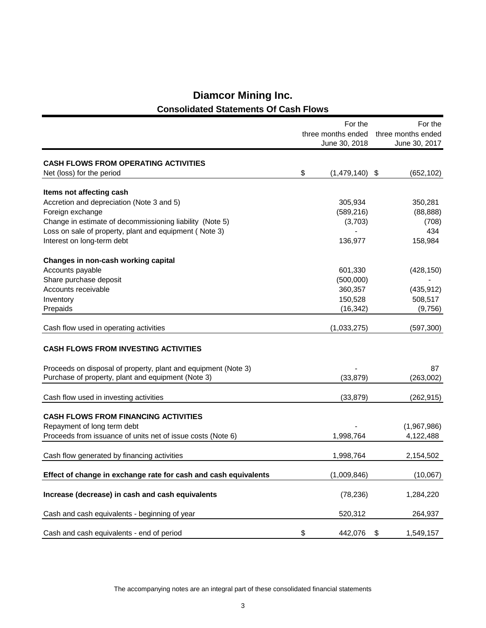|                                                                 | For the<br>three months ended<br>June 30, 2018 | For the<br>three months ended<br>June 30, 2017 |
|-----------------------------------------------------------------|------------------------------------------------|------------------------------------------------|
| <b>CASH FLOWS FROM OPERATING ACTIVITIES</b>                     |                                                |                                                |
| Net (loss) for the period                                       | \$<br>$(1,479,140)$ \$                         | (652, 102)                                     |
| Items not affecting cash                                        |                                                |                                                |
| Accretion and depreciation (Note 3 and 5)                       | 305,934                                        | 350,281                                        |
| Foreign exchange                                                | (589, 216)                                     | (88, 888)                                      |
| Change in estimate of decommissioning liability (Note 5)        | (3,703)                                        | (708)                                          |
| Loss on sale of property, plant and equipment (Note 3)          |                                                | 434                                            |
| Interest on long-term debt                                      | 136,977                                        | 158,984                                        |
| Changes in non-cash working capital                             |                                                |                                                |
| Accounts payable                                                | 601,330                                        | (428, 150)                                     |
| Share purchase deposit                                          | (500,000)                                      |                                                |
| Accounts receivable                                             | 360,357                                        | (435, 912)                                     |
| Inventory                                                       | 150,528                                        | 508,517                                        |
| Prepaids                                                        | (16, 342)                                      | (9,756)                                        |
|                                                                 |                                                |                                                |
| Cash flow used in operating activities                          | (1,033,275)                                    | (597, 300)                                     |
| <b>CASH FLOWS FROM INVESTING ACTIVITIES</b>                     |                                                |                                                |
| Proceeds on disposal of property, plant and equipment (Note 3)  |                                                | 87                                             |
| Purchase of property, plant and equipment (Note 3)              | (33, 879)                                      | (263,002)                                      |
|                                                                 |                                                |                                                |
| Cash flow used in investing activities                          | (33, 879)                                      | (262, 915)                                     |
| <b>CASH FLOWS FROM FINANCING ACTIVITIES</b>                     |                                                |                                                |
| Repayment of long term debt                                     |                                                | (1,967,986)                                    |
| Proceeds from issuance of units net of issue costs (Note 6)     | 1,998,764                                      | 4,122,488                                      |
|                                                                 |                                                |                                                |
| Cash flow generated by financing activities                     | 1,998,764                                      | 2,154,502                                      |
| Effect of change in exchange rate for cash and cash equivalents | (1,009,846)                                    | (10,067)                                       |
| Increase (decrease) in cash and cash equivalents                | (78, 236)                                      | 1,284,220                                      |
| Cash and cash equivalents - beginning of year                   | 520,312                                        | 264,937                                        |
| Cash and cash equivalents - end of period                       | \$<br>442,076                                  | \$<br>1,549,157                                |

# **Diamcor Mining Inc. Consolidated Statements Of Cash Flows**

The accompanying notes are an integral part of these consolidated financial statements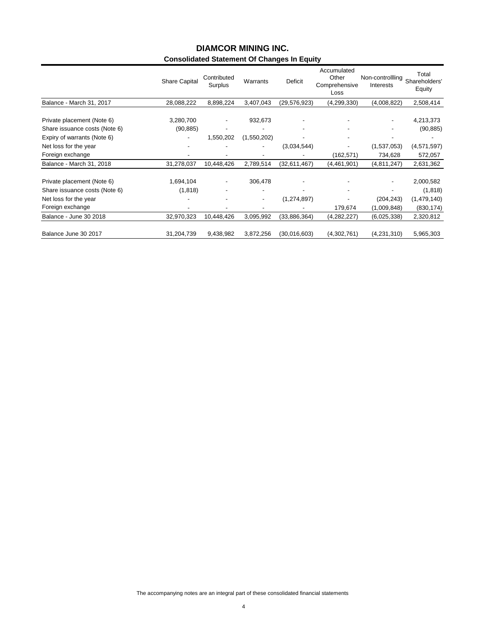# **Consolidated Statement Of Changes In Equity DIAMCOR MINING INC.**

|                               | <b>Share Capital</b>     | Contributed<br>Surplus   | Warrants    | Deficit        | Accumulated<br>Other<br>Comprehensive<br>Loss | Non-controllling<br>Interests | Total<br>Shareholders'<br>Equity |
|-------------------------------|--------------------------|--------------------------|-------------|----------------|-----------------------------------------------|-------------------------------|----------------------------------|
| Balance - March 31, 2017      | 28,088,222               | 8,898,224                | 3,407,043   | (29, 576, 923) | (4, 299, 330)                                 | (4,008,822)                   | 2,508,414                        |
| Private placement (Note 6)    | 3,280,700                | $\overline{\phantom{a}}$ | 932,673     |                |                                               |                               | 4,213,373                        |
| Share issuance costs (Note 6) | (90, 885)                |                          |             |                |                                               |                               | (90, 885)                        |
| Expiry of warrants (Note 6)   | $\overline{\phantom{a}}$ | 1,550,202                | (1,550,202) |                |                                               |                               |                                  |
| Net loss for the year         |                          |                          | ٠           | (3,034,544)    |                                               | (1,537,053)                   | (4,571,597)                      |
| Foreign exchange              |                          |                          |             |                | (162, 571)                                    | 734,628                       | 572,057                          |
| Balance - March 31, 2018      | 31,278,037               | 10,448,426               | 2,789,514   | (32,611,467)   | (4,461,901)                                   | (4,811,247)                   | 2,631,362                        |
| Private placement (Note 6)    | 1,694,104                | $\overline{\phantom{a}}$ | 306,478     |                |                                               |                               | 2,000,582                        |
| Share issuance costs (Note 6) | (1, 818)                 |                          | -           |                |                                               |                               | (1,818)                          |
| Net loss for the year         |                          |                          | ٠           | (1,274,897)    |                                               | (204, 243)                    | (1,479,140)                      |
| Foreign exchange              |                          |                          |             |                | 179,674                                       | (1,009,848)                   | (830, 174)                       |
| Balance - June 30 2018        | 32,970,323               | 10,448,426               | 3,095,992   | (33,886,364)   | (4,282,227)                                   | (6,025,338)                   | 2,320,812                        |
| Balance June 30 2017          | 31,204,739               | 9,438,982                | 3,872,256   | (30,016,603)   | (4,302,761)                                   | (4,231,310)                   | 5,965,303                        |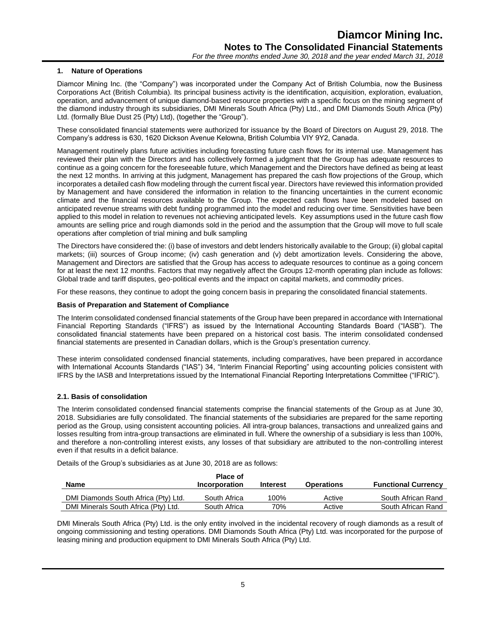# **1. Nature of Operations**

Diamcor Mining Inc. (the "Company") was incorporated under the Company Act of British Columbia, now the Business Corporations Act (British Columbia). Its principal business activity is the identification, acquisition, exploration, evaluation, operation, and advancement of unique diamond-based resource properties with a specific focus on the mining segment of the diamond industry through its subsidiaries, DMI Minerals South Africa (Pty) Ltd., and DMI Diamonds South Africa (Pty) Ltd. (formally Blue Dust 25 (Pty) Ltd), (together the "Group").

These consolidated financial statements were authorized for issuance by the Board of Directors on August 29, 2018. The Company's address is 630, 1620 Dickson Avenue Kelowna, British Columbia VIY 9Y2, Canada.

Management routinely plans future activities including forecasting future cash flows for its internal use. Management has reviewed their plan with the Directors and has collectively formed a judgment that the Group has adequate resources to continue as a going concern for the foreseeable future, which Management and the Directors have defined as being at least the next 12 months. In arriving at this judgment, Management has prepared the cash flow projections of the Group, which incorporates a detailed cash flow modeling through the current fiscal year. Directors have reviewed this information provided by Management and have considered the information in relation to the financing uncertainties in the current economic climate and the financial resources available to the Group. The expected cash flows have been modeled based on anticipated revenue streams with debt funding programmed into the model and reducing over time. Sensitivities have been applied to this model in relation to revenues not achieving anticipated levels. Key assumptions used in the future cash flow amounts are selling price and rough diamonds sold in the period and the assumption that the Group will move to full scale operations after completion of trial mining and bulk sampling

The Directors have considered the: (i) base of investors and debt lenders historically available to the Group; (ii) global capital markets; (iii) sources of Group income; (iv) cash generation and (v) debt amortization levels. Considering the above, Management and Directors are satisfied that the Group has access to adequate resources to continue as a going concern for at least the next 12 months. Factors that may negatively affect the Groups 12-month operating plan include as follows: Global trade and tariff disputes, geo-political events and the impact on capital markets, and commodity prices.

For these reasons, they continue to adopt the going concern basis in preparing the consolidated financial statements.

#### **Basis of Preparation and Statement of Compliance**

The Interim consolidated condensed financial statements of the Group have been prepared in accordance with International Financial Reporting Standards ("IFRS") as issued by the International Accounting Standards Board ("IASB"). The consolidated financial statements have been prepared on a historical cost basis. The interim consolidated condensed financial statements are presented in Canadian dollars, which is the Group's presentation currency.

These interim consolidated condensed financial statements, including comparatives, have been prepared in accordance with International Accounts Standards ("IAS") 34, "Interim Financial Reporting" using accounting policies consistent with IFRS by the IASB and Interpretations issued by the International Financial Reporting Interpretations Committee ("IFRIC").

#### **2.1. Basis of consolidation**

The Interim consolidated condensed financial statements comprise the financial statements of the Group as at June 30, 2018. Subsidiaries are fully consolidated. The financial statements of the subsidiaries are prepared for the same reporting period as the Group, using consistent accounting policies. All intra-group balances, transactions and unrealized gains and losses resulting from intra-group transactions are eliminated in full. Where the ownership of a subsidiary is less than 100%, and therefore a non-controlling interest exists, any losses of that subsidiary are attributed to the non-controlling interest even if that results in a deficit balance.

Details of the Group's subsidiaries as at June 30, 2018 are as follows:

|                                      | <b>Place of</b> |                 |                   |                            |
|--------------------------------------|-----------------|-----------------|-------------------|----------------------------|
| Name                                 | Incorporation   | <b>Interest</b> | <b>Operations</b> | <b>Functional Currency</b> |
| DMI Diamonds South Africa (Pty) Ltd. | South Africa    | 100%            | Active            | South African Rand         |
| DMI Minerals South Africa (Pty) Ltd. | South Africa    | 70%             | Active            | South African Rand         |

DMI Minerals South Africa (Pty) Ltd. is the only entity involved in the incidental recovery of rough diamonds as a result of ongoing commissioning and testing operations. DMI Diamonds South Africa (Pty) Ltd. was incorporated for the purpose of leasing mining and production equipment to DMI Minerals South Africa (Pty) Ltd.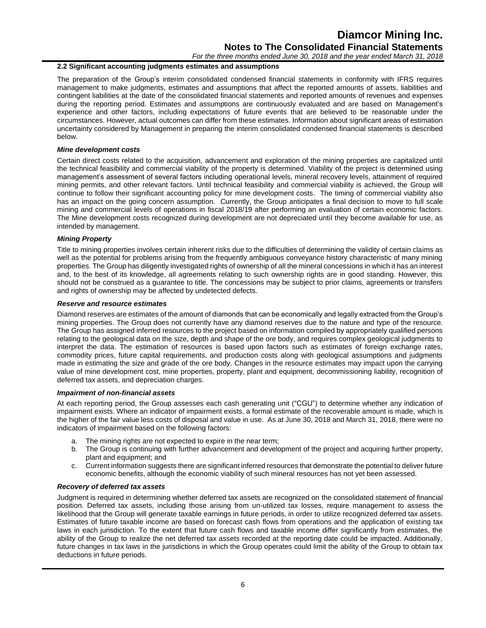*For the three months ended June 30, 2018 and the year ended March 31, 2018*

# **2.2 Significant accounting judgments estimates and assumptions**

The preparation of the Group's interim consolidated condensed financial statements in conformity with IFRS requires management to make judgments, estimates and assumptions that affect the reported amounts of assets, liabilities and contingent liabilities at the date of the consolidated financial statements and reported amounts of revenues and expenses during the reporting period. Estimates and assumptions are continuously evaluated and are based on Management's experience and other factors, including expectations of future events that are believed to be reasonable under the circumstances. However, actual outcomes can differ from these estimates. Information about significant areas of estimation uncertainty considered by Management in preparing the interim consolidated condensed financial statements is described below.

# *Mine development costs*

Certain direct costs related to the acquisition, advancement and exploration of the mining properties are capitalized until the technical feasibility and commercial viability of the property is determined. Viability of the project is determined using management's assessment of several factors including operational levels, mineral recovery levels, attainment of required mining permits, and other relevant factors. Until technical feasibility and commercial viability is achieved, the Group will continue to follow their significant accounting policy for mine development costs. The timing of commercial viability also has an impact on the going concern assumption. Currently, the Group anticipates a final decision to move to full scale mining and commercial levels of operations in fiscal 2018/19 after performing an evaluation of certain economic factors. The Mine development costs recognized during development are not depreciated until they become available for use, as intended by management.

# *Mining Property*

Title to mining properties involves certain inherent risks due to the difficulties of determining the validity of certain claims as well as the potential for problems arising from the frequently ambiguous conveyance history characteristic of many mining properties. The Group has diligently investigated rights of ownership of all the mineral concessions in which it has an interest and, to the best of its knowledge, all agreements relating to such ownership rights are in good standing. However, this should not be construed as a guarantee to title. The concessions may be subject to prior claims, agreements or transfers and rights of ownership may be affected by undetected defects.

# *Reserve and resource estimates*

Diamond reserves are estimates of the amount of diamonds that can be economically and legally extracted from the Group's mining properties. The Group does not currently have any diamond reserves due to the nature and type of the resource. The Group has assigned inferred resources to the project based on information compiled by appropriately qualified persons relating to the geological data on the size, depth and shape of the ore body, and requires complex geological judgments to interpret the data. The estimation of resources is based upon factors such as estimates of foreign exchange rates, commodity prices, future capital requirements, and production costs along with geological assumptions and judgments made in estimating the size and grade of the ore body. Changes in the resource estimates may impact upon the carrying value of mine development cost, mine properties, property, plant and equipment, decommissioning liability, recognition of deferred tax assets, and depreciation charges.

# *Impairment of non-financial assets*

At each reporting period, the Group assesses each cash generating unit ("CGU") to determine whether any indication of impairment exists. Where an indicator of impairment exists, a formal estimate of the recoverable amount is made, which is the higher of the fair value less costs of disposal and value in use. As at June 30, 2018 and March 31, 2018, there were no indicators of impairment based on the following factors:

- a. The mining rights are not expected to expire in the near term;
- b. The Group is continuing with further advancement and development of the project and acquiring further property, plant and equipment; and
- c. Current information suggests there are significant inferred resources that demonstrate the potential to deliver future economic benefits, although the economic viability of such mineral resources has not yet been assessed.

# *Recovery of deferred tax assets*

Judgment is required in determining whether deferred tax assets are recognized on the consolidated statement of financial position. Deferred tax assets, including those arising from un-utilized tax losses, require management to assess the likelihood that the Group will generate taxable earnings in future periods, in order to utilize recognized deferred tax assets. Estimates of future taxable income are based on forecast cash flows from operations and the application of existing tax laws in each jurisdiction. To the extent that future cash flows and taxable income differ significantly from estimates, the ability of the Group to realize the net deferred tax assets recorded at the reporting date could be impacted. Additionally, future changes in tax laws in the jurisdictions in which the Group operates could limit the ability of the Group to obtain tax deductions in future periods.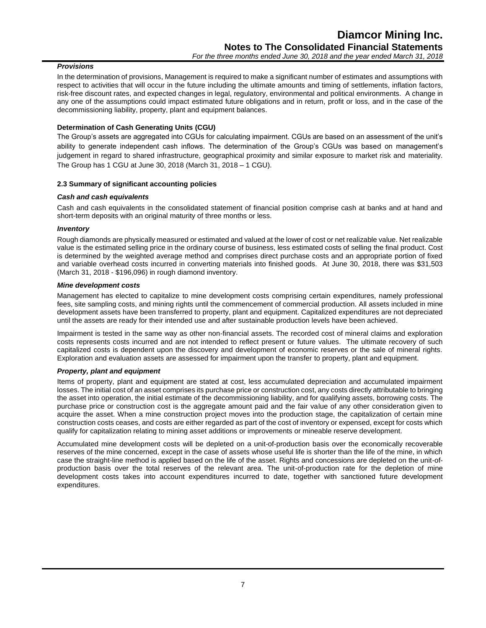# *Provisions*

In the determination of provisions, Management is required to make a significant number of estimates and assumptions with respect to activities that will occur in the future including the ultimate amounts and timing of settlements, inflation factors, risk-free discount rates, and expected changes in legal, regulatory, environmental and political environments. A change in any one of the assumptions could impact estimated future obligations and in return, profit or loss, and in the case of the decommissioning liability, property, plant and equipment balances.

# **Determination of Cash Generating Units (CGU)**

The Group's assets are aggregated into CGUs for calculating impairment. CGUs are based on an assessment of the unit's ability to generate independent cash inflows. The determination of the Group's CGUs was based on management's judgement in regard to shared infrastructure, geographical proximity and similar exposure to market risk and materiality. The Group has 1 CGU at June 30, 2018 (March 31, 2018 – 1 CGU).

# **2.3 Summary of significant accounting policies**

# *Cash and cash equivalents*

Cash and cash equivalents in the consolidated statement of financial position comprise cash at banks and at hand and short-term deposits with an original maturity of three months or less.

# *Inventory*

Rough diamonds are physically measured or estimated and valued at the lower of cost or net realizable value. Net realizable value is the estimated selling price in the ordinary course of business, less estimated costs of selling the final product. Cost is determined by the weighted average method and comprises direct purchase costs and an appropriate portion of fixed and variable overhead costs incurred in converting materials into finished goods. At June 30, 2018, there was \$31,503 (March 31, 2018 - \$196,096) in rough diamond inventory.

# *Mine development costs*

Management has elected to capitalize to mine development costs comprising certain expenditures, namely professional fees, site sampling costs, and mining rights until the commencement of commercial production. All assets included in mine development assets have been transferred to property, plant and equipment. Capitalized expenditures are not depreciated until the assets are ready for their intended use and after sustainable production levels have been achieved.

Impairment is tested in the same way as other non-financial assets. The recorded cost of mineral claims and exploration costs represents costs incurred and are not intended to reflect present or future values. The ultimate recovery of such capitalized costs is dependent upon the discovery and development of economic reserves or the sale of mineral rights. Exploration and evaluation assets are assessed for impairment upon the transfer to property, plant and equipment.

# *Property, plant and equipment*

Items of property, plant and equipment are stated at cost, less accumulated depreciation and accumulated impairment losses. The initial cost of an asset comprises its purchase price or construction cost, any costs directly attributable to bringing the asset into operation, the initial estimate of the decommissioning liability, and for qualifying assets, borrowing costs. The purchase price or construction cost is the aggregate amount paid and the fair value of any other consideration given to acquire the asset. When a mine construction project moves into the production stage, the capitalization of certain mine construction costs ceases, and costs are either regarded as part of the cost of inventory or expensed, except for costs which qualify for capitalization relating to mining asset additions or improvements or mineable reserve development.

Accumulated mine development costs will be depleted on a unit-of-production basis over the economically recoverable reserves of the mine concerned, except in the case of assets whose useful life is shorter than the life of the mine, in which case the straight-line method is applied based on the life of the asset. Rights and concessions are depleted on the unit-ofproduction basis over the total reserves of the relevant area. The unit-of-production rate for the depletion of mine development costs takes into account expenditures incurred to date, together with sanctioned future development expenditures.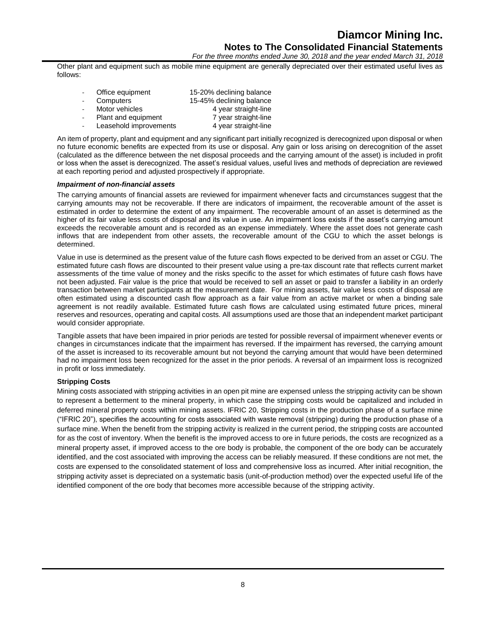*For the three months ended June 30, 2018 and the year ended March 31, 2018*

Other plant and equipment such as mobile mine equipment are generally depreciated over their estimated useful lives as follows:

| ÷. | Office equipment       | 15-20% declining balance |
|----|------------------------|--------------------------|
|    | Computers              | 15-45% declining balance |
|    | Motor vehicles         | 4 year straight-line     |
|    | Plant and equipment    | 7 year straight-line     |
|    | Leasehold improvements | 4 year straight-line     |

An item of property, plant and equipment and any significant part initially recognized is derecognized upon disposal or when no future economic benefits are expected from its use or disposal. Any gain or loss arising on derecognition of the asset (calculated as the difference between the net disposal proceeds and the carrying amount of the asset) is included in profit or loss when the asset is derecognized. The asset's residual values, useful lives and methods of depreciation are reviewed at each reporting period and adjusted prospectively if appropriate.

# *Impairment of non-financial assets*

The carrying amounts of financial assets are reviewed for impairment whenever facts and circumstances suggest that the carrying amounts may not be recoverable. If there are indicators of impairment, the recoverable amount of the asset is estimated in order to determine the extent of any impairment. The recoverable amount of an asset is determined as the higher of its fair value less costs of disposal and its value in use. An impairment loss exists if the asset's carrying amount exceeds the recoverable amount and is recorded as an expense immediately. Where the asset does not generate cash inflows that are independent from other assets, the recoverable amount of the CGU to which the asset belongs is determined.

Value in use is determined as the present value of the future cash flows expected to be derived from an asset or CGU. The estimated future cash flows are discounted to their present value using a pre-tax discount rate that reflects current market assessments of the time value of money and the risks specific to the asset for which estimates of future cash flows have not been adjusted. Fair value is the price that would be received to sell an asset or paid to transfer a liability in an orderly transaction between market participants at the measurement date. For mining assets, fair value less costs of disposal are often estimated using a discounted cash flow approach as a fair value from an active market or when a binding sale agreement is not readily available. Estimated future cash flows are calculated using estimated future prices, mineral reserves and resources, operating and capital costs. All assumptions used are those that an independent market participant would consider appropriate.

Tangible assets that have been impaired in prior periods are tested for possible reversal of impairment whenever events or changes in circumstances indicate that the impairment has reversed. If the impairment has reversed, the carrying amount of the asset is increased to its recoverable amount but not beyond the carrying amount that would have been determined had no impairment loss been recognized for the asset in the prior periods. A reversal of an impairment loss is recognized in profit or loss immediately.

# **Stripping Costs**

Mining costs associated with stripping activities in an open pit mine are expensed unless the stripping activity can be shown to represent a betterment to the mineral property, in which case the stripping costs would be capitalized and included in deferred mineral property costs within mining assets. IFRIC 20, Stripping costs in the production phase of a surface mine ("IFRIC 20"), specifies the accounting for costs associated with waste removal (stripping) during the production phase of a surface mine. When the benefit from the stripping activity is realized in the current period, the stripping costs are accounted for as the cost of inventory. When the benefit is the improved access to ore in future periods, the costs are recognized as a mineral property asset, if improved access to the ore body is probable, the component of the ore body can be accurately identified, and the cost associated with improving the access can be reliably measured. If these conditions are not met, the costs are expensed to the consolidated statement of loss and comprehensive loss as incurred. After initial recognition, the stripping activity asset is depreciated on a systematic basis (unit-of-production method) over the expected useful life of the identified component of the ore body that becomes more accessible because of the stripping activity.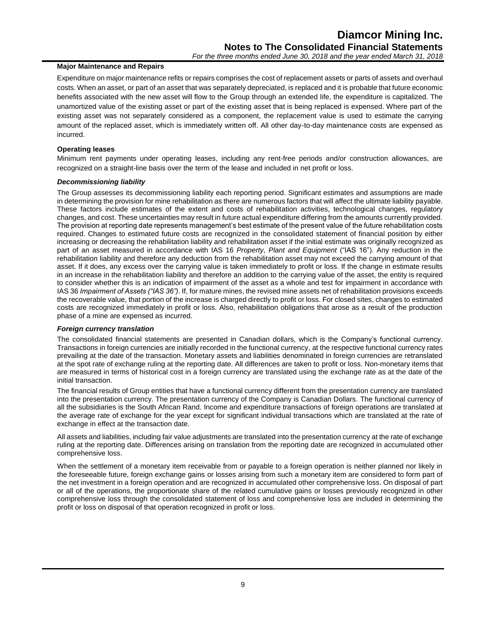# **Major Maintenance and Repairs**

Expenditure on major maintenance refits or repairs comprises the cost of replacement assets or parts of assets and overhaul costs. When an asset, or part of an asset that was separately depreciated, is replaced and it is probable that future economic benefits associated with the new asset will flow to the Group through an extended life, the expenditure is capitalized. The unamortized value of the existing asset or part of the existing asset that is being replaced is expensed. Where part of the existing asset was not separately considered as a component, the replacement value is used to estimate the carrying amount of the replaced asset, which is immediately written off. All other day-to-day maintenance costs are expensed as incurred.

# **Operating leases**

Minimum rent payments under operating leases, including any rent-free periods and/or construction allowances, are recognized on a straight-line basis over the term of the lease and included in net profit or loss.

# *Decommissioning liability*

The Group assesses its decommissioning liability each reporting period. Significant estimates and assumptions are made in determining the provision for mine rehabilitation as there are numerous factors that will affect the ultimate liability payable. These factors include estimates of the extent and costs of rehabilitation activities, technological changes, regulatory changes, and cost. These uncertainties may result in future actual expenditure differing from the amounts currently provided. The provision at reporting date represents management's best estimate of the present value of the future rehabilitation costs required. Changes to estimated future costs are recognized in the consolidated statement of financial position by either increasing or decreasing the rehabilitation liability and rehabilitation asset if the initial estimate was originally recognized as part of an asset measured in accordance with IAS 16 *Property, Plant and Equipment* ("IAS 16"). Any reduction in the rehabilitation liability and therefore any deduction from the rehabilitation asset may not exceed the carrying amount of that asset. If it does, any excess over the carrying value is taken immediately to profit or loss. If the change in estimate results in an increase in the rehabilitation liability and therefore an addition to the carrying value of the asset, the entity is required to consider whether this is an indication of impairment of the asset as a whole and test for impairment in accordance with IAS 36 *Impairment of Assets ("IAS 36")*. If, for mature mines, the revised mine assets net of rehabilitation provisions exceeds the recoverable value, that portion of the increase is charged directly to profit or loss. For closed sites, changes to estimated costs are recognized immediately in profit or loss. Also, rehabilitation obligations that arose as a result of the production phase of a mine are expensed as incurred.

# *Foreign currency translation*

The consolidated financial statements are presented in Canadian dollars, which is the Company's functional currency. Transactions in foreign currencies are initially recorded in the functional currency, at the respective functional currency rates prevailing at the date of the transaction. Monetary assets and liabilities denominated in foreign currencies are retranslated at the spot rate of exchange ruling at the reporting date. All differences are taken to profit or loss. Non-monetary items that are measured in terms of historical cost in a foreign currency are translated using the exchange rate as at the date of the initial transaction.

The financial results of Group entities that have a functional currency different from the presentation currency are translated into the presentation currency. The presentation currency of the Company is Canadian Dollars. The functional currency of all the subsidiaries is the South African Rand. Income and expenditure transactions of foreign operations are translated at the average rate of exchange for the year except for significant individual transactions which are translated at the rate of exchange in effect at the transaction date.

All assets and liabilities, including fair value adjustments are translated into the presentation currency at the rate of exchange ruling at the reporting date. Differences arising on translation from the reporting date are recognized in accumulated other comprehensive loss.

When the settlement of a monetary item receivable from or payable to a foreign operation is neither planned nor likely in the foreseeable future, foreign exchange gains or losses arising from such a monetary item are considered to form part of the net investment in a foreign operation and are recognized in accumulated other comprehensive loss. On disposal of part or all of the operations, the proportionate share of the related cumulative gains or losses previously recognized in other comprehensive loss through the consolidated statement of loss and comprehensive loss are included in determining the profit or loss on disposal of that operation recognized in profit or loss.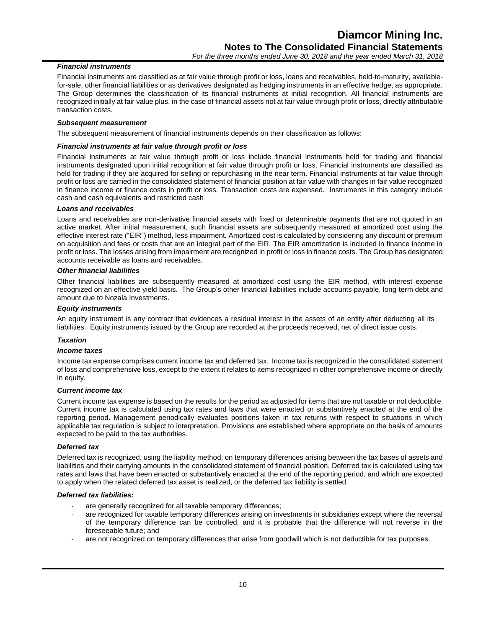# *Financial instruments*

Financial instruments are classified as at fair value through profit or loss, loans and receivables, held-to-maturity, availablefor-sale, other financial liabilities or as derivatives designated as hedging instruments in an effective hedge, as appropriate. The Group determines the classification of its financial instruments at initial recognition. All financial instruments are recognized initially at fair value plus, in the case of financial assets not at fair value through profit or loss, directly attributable transaction costs.

# *Subsequent measurement*

The subsequent measurement of financial instruments depends on their classification as follows:

#### *Financial instruments at fair value through profit or loss*

Financial instruments at fair value through profit or loss include financial instruments held for trading and financial instruments designated upon initial recognition at fair value through profit or loss. Financial instruments are classified as held for trading if they are acquired for selling or repurchasing in the near term. Financial instruments at fair value through profit or loss are carried in the consolidated statement of financial position at fair value with changes in fair value recognized in finance income or finance costs in profit or loss. Transaction costs are expensed. Instruments in this category include cash and cash equivalents and restricted cash

# *Loans and receivables*

Loans and receivables are non-derivative financial assets with fixed or determinable payments that are not quoted in an active market. After initial measurement, such financial assets are subsequently measured at amortized cost using the effective interest rate ("EIR") method, less impairment. Amortized cost is calculated by considering any discount or premium on acquisition and fees or costs that are an integral part of the EIR. The EIR amortization is included in finance income in profit or loss. The losses arising from impairment are recognized in profit or loss in finance costs. The Group has designated accounts receivable as loans and receivables.

#### *Other financial liabilities*

Other financial liabilities are subsequently measured at amortized cost using the EIR method, with interest expense recognized on an effective yield basis. The Group's other financial liabilities include accounts payable, long-term debt and amount due to Nozala Investments.

#### *Equity instruments*

An equity instrument is any contract that evidences a residual interest in the assets of an entity after deducting all its liabilities. Equity instruments issued by the Group are recorded at the proceeds received, net of direct issue costs.

# *Taxation*

# *Income taxes*

Income tax expense comprises current income tax and deferred tax. Income tax is recognized in the consolidated statement of loss and comprehensive loss, except to the extent it relates to items recognized in other comprehensive income or directly in equity.

#### *Current income tax*

Current income tax expense is based on the results for the period as adjusted for items that are not taxable or not deductible. Current income tax is calculated using tax rates and laws that were enacted or substantively enacted at the end of the reporting period. Management periodically evaluates positions taken in tax returns with respect to situations in which applicable tax regulation is subject to interpretation. Provisions are established where appropriate on the basis of amounts expected to be paid to the tax authorities.

#### *Deferred tax*

Deferred tax is recognized, using the liability method, on temporary differences arising between the tax bases of assets and liabilities and their carrying amounts in the consolidated statement of financial position. Deferred tax is calculated using tax rates and laws that have been enacted or substantively enacted at the end of the reporting period, and which are expected to apply when the related deferred tax asset is realized, or the deferred tax liability is settled.

#### *Deferred tax liabilities:*

- are generally recognized for all taxable temporary differences;
- are recognized for taxable temporary differences arising on investments in subsidiaries except where the reversal of the temporary difference can be controlled, and it is probable that the difference will not reverse in the foreseeable future; and
- are not recognized on temporary differences that arise from goodwill which is not deductible for tax purposes.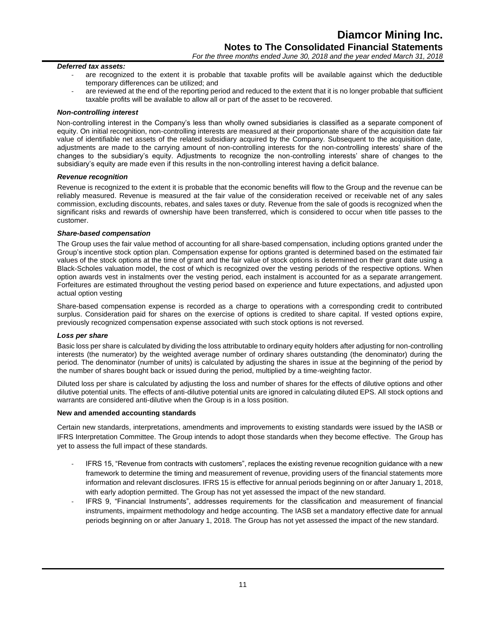#### *Deferred tax assets:*

- are recognized to the extent it is probable that taxable profits will be available against which the deductible temporary differences can be utilized; and
- are reviewed at the end of the reporting period and reduced to the extent that it is no longer probable that sufficient taxable profits will be available to allow all or part of the asset to be recovered.

#### *Non-controlling interest*

Non-controlling interest in the Company's less than wholly owned subsidiaries is classified as a separate component of equity. On initial recognition, non-controlling interests are measured at their proportionate share of the acquisition date fair value of identifiable net assets of the related subsidiary acquired by the Company. Subsequent to the acquisition date, adjustments are made to the carrying amount of non-controlling interests for the non-controlling interests' share of the changes to the subsidiary's equity. Adjustments to recognize the non-controlling interests' share of changes to the subsidiary's equity are made even if this results in the non-controlling interest having a deficit balance.

#### *Revenue recognition*

Revenue is recognized to the extent it is probable that the economic benefits will flow to the Group and the revenue can be reliably measured. Revenue is measured at the fair value of the consideration received or receivable net of any sales commission, excluding discounts, rebates, and sales taxes or duty. Revenue from the sale of goods is recognized when the significant risks and rewards of ownership have been transferred, which is considered to occur when title passes to the customer.

#### *Share-based compensation*

The Group uses the fair value method of accounting for all share-based compensation, including options granted under the Group's incentive stock option plan. Compensation expense for options granted is determined based on the estimated fair values of the stock options at the time of grant and the fair value of stock options is determined on their grant date using a Black-Scholes valuation model, the cost of which is recognized over the vesting periods of the respective options. When option awards vest in instalments over the vesting period, each instalment is accounted for as a separate arrangement. Forfeitures are estimated throughout the vesting period based on experience and future expectations, and adjusted upon actual option vesting

Share-based compensation expense is recorded as a charge to operations with a corresponding credit to contributed surplus. Consideration paid for shares on the exercise of options is credited to share capital. If vested options expire, previously recognized compensation expense associated with such stock options is not reversed.

#### *Loss per share*

Basic loss per share is calculated by dividing the loss attributable to ordinary equity holders after adjusting for non-controlling interests (the numerator) by the weighted average number of ordinary shares outstanding (the denominator) during the period. The denominator (number of units) is calculated by adjusting the shares in issue at the beginning of the period by the number of shares bought back or issued during the period, multiplied by a time-weighting factor.

Diluted loss per share is calculated by adjusting the loss and number of shares for the effects of dilutive options and other dilutive potential units. The effects of anti-dilutive potential units are ignored in calculating diluted EPS. All stock options and warrants are considered anti-dilutive when the Group is in a loss position.

# **New and amended accounting standards**

Certain new standards, interpretations, amendments and improvements to existing standards were issued by the IASB or IFRS Interpretation Committee. The Group intends to adopt those standards when they become effective. The Group has yet to assess the full impact of these standards.

- IFRS 15, "Revenue from contracts with customers", replaces the existing revenue recognition guidance with a new framework to determine the timing and measurement of revenue, providing users of the financial statements more information and relevant disclosures. IFRS 15 is effective for annual periods beginning on or after January 1, 2018, with early adoption permitted. The Group has not yet assessed the impact of the new standard.
- IFRS 9, "Financial Instruments", addresses requirements for the classification and measurement of financial instruments, impairment methodology and hedge accounting. The IASB set a mandatory effective date for annual periods beginning on or after January 1, 2018. The Group has not yet assessed the impact of the new standard.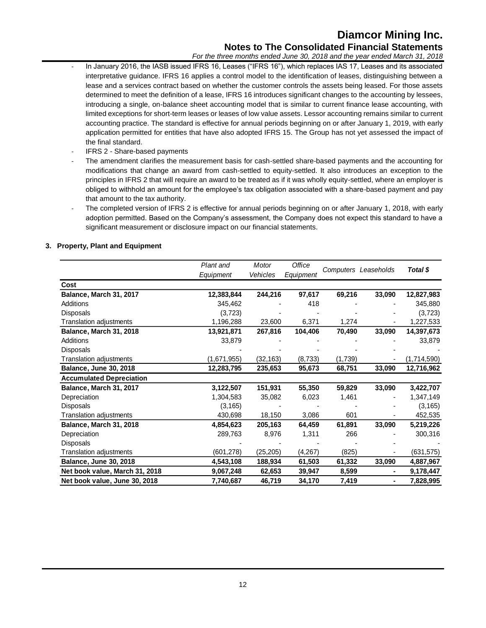# **Diamcor Mining Inc. Notes to The Consolidated Financial Statements**

*For the three months ended June 30, 2018 and the year ended March 31, 2018*

- In January 2016, the IASB issued IFRS 16, Leases ("IFRS 16"), which replaces IAS 17, Leases and its associated interpretative guidance. IFRS 16 applies a control model to the identification of leases, distinguishing between a lease and a services contract based on whether the customer controls the assets being leased. For those assets determined to meet the definition of a lease, IFRS 16 introduces significant changes to the accounting by lessees, introducing a single, on-balance sheet accounting model that is similar to current finance lease accounting, with limited exceptions for short-term leases or leases of low value assets. Lessor accounting remains similar to current accounting practice. The standard is effective for annual periods beginning on or after January 1, 2019, with early application permitted for entities that have also adopted IFRS 15. The Group has not yet assessed the impact of the final standard.
- IFRS 2 Share-based payments
- The amendment clarifies the measurement basis for cash-settled share-based payments and the accounting for modifications that change an award from cash-settled to equity-settled. It also introduces an exception to the principles in IFRS 2 that will require an award to be treated as if it was wholly equity-settled, where an employer is obliged to withhold an amount for the employee's tax obligation associated with a share-based payment and pay that amount to the tax authority.
- The completed version of IFRS 2 is effective for annual periods beginning on or after January 1, 2018, with early adoption permitted. Based on the Company's assessment, the Company does not expect this standard to have a significant measurement or disclosure impact on our financial statements.

# **3. Property, Plant and Equipment**

|                                 | Plant and   | Motor     | Office    |         |                      |             |
|---------------------------------|-------------|-----------|-----------|---------|----------------------|-------------|
|                                 | Equipment   | Vehicles  | Equipment |         | Computers Leaseholds | Total \$    |
| Cost                            |             |           |           |         |                      |             |
| Balance, March 31, 2017         | 12,383,844  | 244,216   | 97,617    | 69,216  | 33,090               | 12,827,983  |
| Additions                       | 345,462     |           | 418       |         |                      | 345,880     |
| <b>Disposals</b>                | (3,723)     |           |           |         |                      | (3,723)     |
| Translation adjustments         | 1,196,288   | 23,600    | 6,371     | 1,274   |                      | 1,227,533   |
| Balance, March 31, 2018         | 13,921,871  | 267,816   | 104,406   | 70,490  | 33,090               | 14,397,673  |
| <b>Additions</b>                | 33,879      |           |           |         |                      | 33,879      |
| <b>Disposals</b>                |             |           |           |         |                      |             |
| Translation adjustments         | (1,671,955) | (32, 163) | (8, 733)  | (1,739) |                      | (1,714,590) |
| <b>Balance, June 30, 2018</b>   | 12,283,795  | 235,653   | 95,673    | 68,751  | 33,090               | 12,716,962  |
| <b>Accumulated Depreciation</b> |             |           |           |         |                      |             |
| Balance, March 31, 2017         | 3,122,507   | 151,931   | 55,350    | 59,829  | 33,090               | 3,422,707   |
| Depreciation                    | 1,304,583   | 35,082    | 6,023     | 1,461   |                      | 1,347,149   |
| Disposals                       | (3, 165)    |           |           |         |                      | (3, 165)    |
| <b>Translation adjustments</b>  | 430,698     | 18,150    | 3,086     | 601     |                      | 452,535     |
| Balance, March 31, 2018         | 4,854,623   | 205,163   | 64,459    | 61,891  | 33,090               | 5,219,226   |
| Depreciation                    | 289,763     | 8,976     | 1,311     | 266     |                      | 300,316     |
| <b>Disposals</b>                |             |           |           |         |                      |             |
| Translation adjustments         | (601,278)   | (25, 205) | (4,267)   | (825)   |                      | (631, 575)  |
| <b>Balance, June 30, 2018</b>   | 4,543,108   | 188,934   | 61,503    | 61,332  | 33,090               | 4,887,967   |
| Net book value, March 31, 2018  | 9,067,248   | 62,653    | 39,947    | 8,599   |                      | 9,178,447   |
| Net book value, June 30, 2018   | 7,740,687   | 46,719    | 34,170    | 7,419   |                      | 7,828,995   |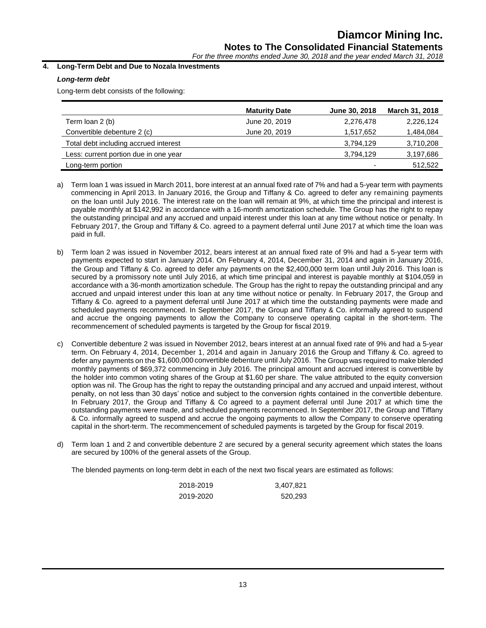*For the three months ended June 30, 2018 and the year ended March 31, 2018*

# **4. Long-Term Debt and Due to Nozala Investments**

# *Long-term debt*

Long-term debt consists of the following:

|                                       | <b>Maturity Date</b> | June 30, 2018            | March 31, 2018 |
|---------------------------------------|----------------------|--------------------------|----------------|
| Term loan 2 (b)                       | June 20, 2019        | 2,276,478                | 2,226,124      |
| Convertible debenture 2 (c)           | June 20, 2019        | 1,517,652                | 1,484,084      |
| Total debt including accrued interest |                      | 3,794,129                | 3,710,208      |
| Less: current portion due in one year |                      | 3,794,129                | 3,197,686      |
| Long-term portion                     |                      | $\overline{\phantom{0}}$ | 512,522        |

- a) Term loan 1 was issued in March 2011, bore interest at an annual fixed rate of 7% and had a 5-year term with payments commencing in April 2013. In January 2016, the Group and Tiffany & Co. agreed to defer any remaining payments on the loan until July 2016. The interest rate on the loan will remain at 9%, at which time the principal and interest is payable monthly at \$142,992 in accordance with a 16-month amortization schedule. The Group has the right to repay the outstanding principal and any accrued and unpaid interest under this loan at any time without notice or penalty. In February 2017, the Group and Tiffany & Co. agreed to a payment deferral until June 2017 at which time the loan was paid in full.
- b) Term loan 2 was issued in November 2012, bears interest at an annual fixed rate of 9% and had a 5-year term with payments expected to start in January 2014. On February 4, 2014, December 31, 2014 and again in January 2016, the Group and Tiffany & Co. agreed to defer any payments on the \$2,400,000 term loan until July 2016. This loan is secured by a promissory note until July 2016, at which time principal and interest is payable monthly at \$104,059 in accordance with a 36-month amortization schedule. The Group has the right to repay the outstanding principal and any accrued and unpaid interest under this loan at any time without notice or penalty. In February 2017, the Group and Tiffany & Co. agreed to a payment deferral until June 2017 at which time the outstanding payments were made and scheduled payments recommenced. In September 2017, the Group and Tiffany & Co. informally agreed to suspend and accrue the ongoing payments to allow the Company to conserve operating capital in the short-term. The recommencement of scheduled payments is targeted by the Group for fiscal 2019.
- c) Convertible debenture 2 was issued in November 2012, bears interest at an annual fixed rate of 9% and had a 5-year term. On February 4, 2014, December 1, 2014 and again in January 2016 the Group and Tiffany & Co. agreed to defer any payments on the \$1,600,000 convertible debenture until July 2016. The Group was required to make blended monthly payments of \$69,372 commencing in July 2016. The principal amount and accrued interest is convertible by the holder into common voting shares of the Group at \$1.60 per share. The value attributed to the equity conversion option was nil. The Group has the right to repay the outstanding principal and any accrued and unpaid interest, without penalty, on not less than 30 days' notice and subject to the conversion rights contained in the convertible debenture. In February 2017, the Group and Tiffany & Co agreed to a payment deferral until June 2017 at which time the outstanding payments were made, and scheduled payments recommenced. In September 2017, the Group and Tiffany & Co. informally agreed to suspend and accrue the ongoing payments to allow the Company to conserve operating capital in the short-term. The recommencement of scheduled payments is targeted by the Group for fiscal 2019.
- d) Term loan 1 and 2 and convertible debenture 2 are secured by a general security agreement which states the loans are secured by 100% of the general assets of the Group.

The blended payments on long-term debt in each of the next two fiscal years are estimated as follows:

| 2018-2019 | 3,407,821 |
|-----------|-----------|
| 2019-2020 | 520,293   |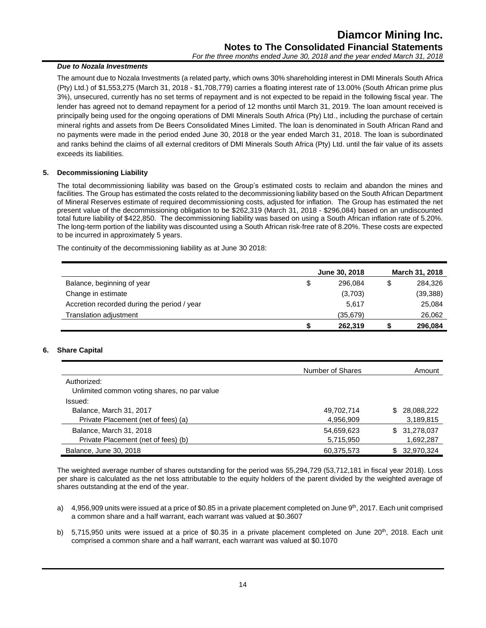# *Due to Nozala Investments*

The amount due to Nozala Investments (a related party, which owns 30% shareholding interest in DMI Minerals South Africa (Pty) Ltd.) of \$1,553,275 (March 31, 2018 - \$1,708,779) carries a floating interest rate of 13.00% (South African prime plus 3%), unsecured, currently has no set terms of repayment and is not expected to be repaid in the following fiscal year. The lender has agreed not to demand repayment for a period of 12 months until March 31, 2019. The loan amount received is principally being used for the ongoing operations of DMI Minerals South Africa (Pty) Ltd., including the purchase of certain mineral rights and assets from De Beers Consolidated Mines Limited. The loan is denominated in South African Rand and no payments were made in the period ended June 30, 2018 or the year ended March 31, 2018. The loan is subordinated and ranks behind the claims of all external creditors of DMI Minerals South Africa (Pty) Ltd. until the fair value of its assets exceeds its liabilities.

# **5. Decommissioning Liability**

The total decommissioning liability was based on the Group's estimated costs to reclaim and abandon the mines and facilities. The Group has estimated the costs related to the decommissioning liability based on the South African Department of Mineral Reserves estimate of required decommissioning costs, adjusted for inflation. The Group has estimated the net present value of the decommissioning obligation to be \$262,319 (March 31, 2018 - \$296,084) based on an undiscounted total future liability of \$422,850. The decommissioning liability was based on using a South African inflation rate of 5.20%. The long-term portion of the liability was discounted using a South African risk-free rate of 8.20%. These costs are expected to be incurred in approximately 5 years.

The continuity of the decommissioning liability as at June 30 2018:

|                                             |    | June 30, 2018 |   | March 31, 2018 |
|---------------------------------------------|----|---------------|---|----------------|
| Balance, beginning of year                  | \$ | 296.084       | S | 284,326        |
| Change in estimate                          |    | (3,703)       |   | (39, 388)      |
| Accretion recorded during the period / year |    | 5,617         |   | 25,084         |
| Translation adjustment                      |    | (35, 679)     |   | 26,062         |
|                                             | S  | 262,319       |   | 296,084        |

# **6. Share Capital**

|                                                             | Number of Shares | Amount            |
|-------------------------------------------------------------|------------------|-------------------|
| Authorized:<br>Unlimited common voting shares, no par value |                  |                   |
| Issued:                                                     |                  |                   |
| Balance, March 31, 2017                                     | 49,702,714       | 28,088,222<br>\$. |
| Private Placement (net of fees) (a)                         | 4,956,909        | 3,189,815         |
| Balance, March 31, 2018                                     | 54,659,623       | 31,278,037<br>SS. |
| Private Placement (net of fees) (b)                         | 5,715,950        | 1,692,287         |
| Balance, June 30, 2018                                      | 60,375,573       | 32,970,324<br>\$. |

The weighted average number of shares outstanding for the period was 55,294,729 (53,712,181 in fiscal year 2018). Loss per share is calculated as the net loss attributable to the equity holders of the parent divided by the weighted average of shares outstanding at the end of the year.

- a)  $4.956,909$  units were issued at a price of \$0.85 in a private placement completed on June  $9<sup>th</sup>$ , 2017. Each unit comprised a common share and a half warrant, each warrant was valued at \$0.3607
- b) 5,715,950 units were issued at a price of \$0.35 in a private placement completed on June  $20<sup>th</sup>$ , 2018. Each unit comprised a common share and a half warrant, each warrant was valued at \$0.1070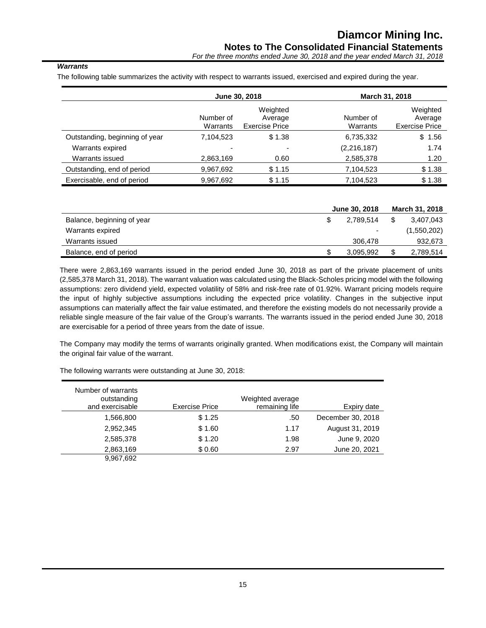*For the three months ended June 30, 2018 and the year ended March 31, 2018*

# *Warrants*

The following table summarizes the activity with respect to warrants issued, exercised and expired during the year.

|                                | June 30, 2018         |                                              |                       | March 31, 2018                               |
|--------------------------------|-----------------------|----------------------------------------------|-----------------------|----------------------------------------------|
|                                | Number of<br>Warrants | Weighted<br>Average<br><b>Exercise Price</b> | Number of<br>Warrants | Weighted<br>Average<br><b>Exercise Price</b> |
| Outstanding, beginning of year | 7,104,523             | \$1.38                                       | 6,735,332             | \$1.56                                       |
| Warrants expired               |                       |                                              | (2, 216, 187)         | 1.74                                         |
| Warrants issued                | 2,863,169             | 0.60                                         | 2,585,378             | 1.20                                         |
| Outstanding, end of period     | 9,967,692             | \$1.15                                       | 7,104,523             | \$1.38                                       |
| Exercisable, end of period     | 9,967,692             | \$1.15                                       | 7,104,523             | \$1.38                                       |

|                            | <b>June 30, 2018</b>     | March 31, 2018  |
|----------------------------|--------------------------|-----------------|
| Balance, beginning of year | 2.789.514                | \$<br>3.407.043 |
| Warrants expired           | $\overline{\phantom{0}}$ | (1,550,202)     |
| Warrants issued            | 306,478                  | 932,673         |
| Balance, end of period     | 3,095,992                | 2,789,514       |

There were 2,863,169 warrants issued in the period ended June 30, 2018 as part of the private placement of units (2,585,378 March 31, 2018). The warrant valuation was calculated using the Black-Scholes pricing model with the following assumptions: zero dividend yield, expected volatility of 58% and risk-free rate of 01.92%. Warrant pricing models require the input of highly subjective assumptions including the expected price volatility. Changes in the subjective input assumptions can materially affect the fair value estimated, and therefore the existing models do not necessarily provide a reliable single measure of the fair value of the Group's warrants. The warrants issued in the period ended June 30, 2018 are exercisable for a period of three years from the date of issue.

The Company may modify the terms of warrants originally granted. When modifications exist, the Company will maintain the original fair value of the warrant.

| Number of warrants<br>outstanding<br>and exercisable | <b>Exercise Price</b> | Weighted average<br>remaining life | Expiry date       |
|------------------------------------------------------|-----------------------|------------------------------------|-------------------|
| 1,566,800                                            | \$1.25                | .50                                | December 30, 2018 |
| 2,952,345                                            | \$1.60                | 1.17                               | August 31, 2019   |
| 2,585,378                                            | \$1.20                | 1.98                               | June 9, 2020      |
| 2,863,169                                            | \$0.60                | 2.97                               | June 20, 2021     |
| 9,967,692                                            |                       |                                    |                   |

The following warrants were outstanding at June 30, 2018: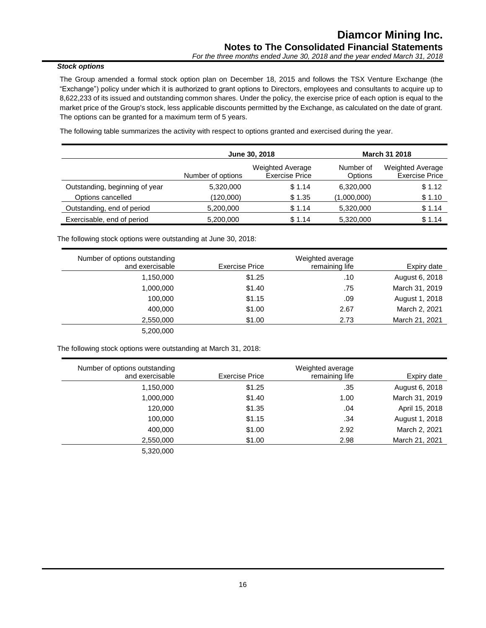# *Stock options*

The Group amended a formal stock option plan on December 18, 2015 and follows the TSX Venture Exchange (the "Exchange") policy under which it is authorized to grant options to Directors, employees and consultants to acquire up to 8,622,233 of its issued and outstanding common shares. Under the policy, the exercise price of each option is equal to the market price of the Group's stock, less applicable discounts permitted by the Exchange, as calculated on the date of grant. The options can be granted for a maximum term of 5 years.

The following table summarizes the activity with respect to options granted and exercised during the year.

|                                |                   | June 30, 2018                                    |                      | <b>March 31 2018</b>                             |
|--------------------------------|-------------------|--------------------------------------------------|----------------------|--------------------------------------------------|
|                                | Number of options | <b>Weighted Average</b><br><b>Exercise Price</b> | Number of<br>Options | <b>Weighted Average</b><br><b>Exercise Price</b> |
| Outstanding, beginning of year | 5,320,000         | \$1.14                                           | 6,320,000            | \$1.12                                           |
| Options cancelled              | (120,000)         | \$1.35                                           | (1,000,000)          | \$1.10                                           |
| Outstanding, end of period     | 5,200,000         | \$1.14                                           | 5,320,000            | \$1.14                                           |
| Exercisable, end of period     | 5,200,000         | \$1.14                                           | 5,320,000            | \$1.14                                           |

The following stock options were outstanding at June 30, 2018:

| Number of options outstanding |                | Weighted average |                |
|-------------------------------|----------------|------------------|----------------|
| and exercisable               | Exercise Price | remaining life   | Expiry date    |
| 1,150,000                     | \$1.25         | .10              | August 6, 2018 |
| 1,000,000                     | \$1.40         | .75              | March 31, 2019 |
| 100,000                       | \$1.15         | .09              | August 1, 2018 |
| 400,000                       | \$1.00         | 2.67             | March 2, 2021  |
| 2,550,000                     | \$1.00         | 2.73             | March 21, 2021 |
| 5,200,000                     |                |                  |                |

The following stock options were outstanding at March 31, 2018:

|                | Weighted average |                | Number of options outstanding |
|----------------|------------------|----------------|-------------------------------|
| Expiry date    | remaining life   | Exercise Price | and exercisable               |
| August 6, 2018 | .35              | \$1.25         | 1,150,000                     |
| March 31, 2019 | 1.00             | \$1.40         | 1,000,000                     |
| April 15, 2018 | .04              | \$1.35         | 120,000                       |
| August 1, 2018 | .34              | \$1.15         | 100,000                       |
| March 2, 2021  | 2.92             | \$1.00         | 400.000                       |
| March 21, 2021 | 2.98             | \$1.00         | 2,550,000                     |
|                |                  |                | 5,320,000                     |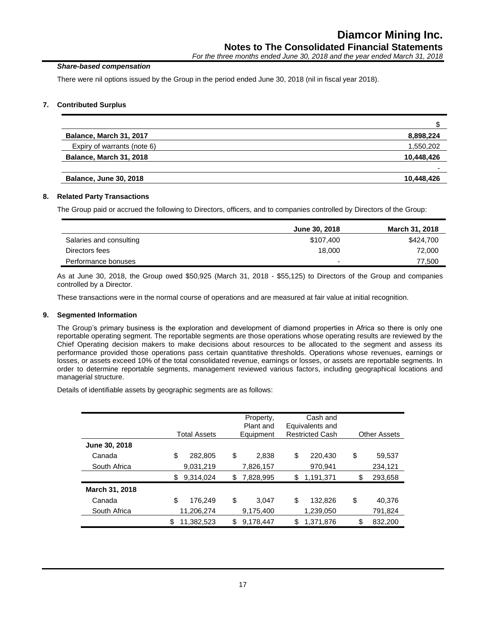# *Share-based compensation*

There were nil options issued by the Group in the period ended June 30, 2018 (nil in fiscal year 2018).

# **7. Contributed Surplus**

| Balance, March 31, 2017        | 8,898,224  |
|--------------------------------|------------|
| Expiry of warrants (note 6)    | 1,550,202  |
| <b>Balance, March 31, 2018</b> | 10,448,426 |
|                                |            |
| <b>Balance, June 30, 2018</b>  | 10,448,426 |

# **8. Related Party Transactions**

The Group paid or accrued the following to Directors, officers, and to companies controlled by Directors of the Group:

|                         | June 30, 2018            | March 31, 2018 |
|-------------------------|--------------------------|----------------|
| Salaries and consulting | \$107,400                | \$424,700      |
| Directors fees          | 18.000                   | 72,000         |
| Performance bonuses     | $\overline{\phantom{0}}$ | 77,500         |
|                         |                          |                |

As at June 30, 2018, the Group owed \$50,925 (March 31, 2018 - \$55,125) to Directors of the Group and companies controlled by a Director.

These transactions were in the normal course of operations and are measured at fair value at initial recognition.

# **9. Segmented Information**

The Group's primary business is the exploration and development of diamond properties in Africa so there is only one reportable operating segment. The reportable segments are those operations whose operating results are reviewed by the Chief Operating decision makers to make decisions about resources to be allocated to the segment and assess its performance provided those operations pass certain quantitative thresholds. Operations whose revenues, earnings or losses, or assets exceed 10% of the total consolidated revenue, earnings or losses, or assets are reportable segments. In order to determine reportable segments, management reviewed various factors, including geographical locations and managerial structure.

Details of identifiable assets by geographic segments are as follows:

|                |    | <b>Total Assets</b> | Property,<br>Plant and<br>Equipment | Cash and<br>Equivalents and<br><b>Restricted Cash</b> | <b>Other Assets</b> |
|----------------|----|---------------------|-------------------------------------|-------------------------------------------------------|---------------------|
| June 30, 2018  |    |                     |                                     |                                                       |                     |
| Canada         | \$ | 282.805             | \$<br>2,838                         | \$<br>220.430                                         | \$<br>59.537        |
| South Africa   |    | 9,031,219           | 7,826,157                           | 970,941                                               | 234,121             |
|                | S  | 9,314,024           | \$<br>7,828,995                     | \$<br>1,191,371                                       | \$<br>293,658       |
| March 31, 2018 |    |                     |                                     |                                                       |                     |
| Canada         | \$ | 176.249             | \$<br>3.047                         | \$<br>132,826                                         | \$<br>40.376        |
| South Africa   |    | 11,206,274          | 9,175,400                           | 1,239,050                                             | 791,824             |
|                | \$ | 11,382,523          | \$<br>9,178,447                     | 1,371,876                                             | \$<br>832,200       |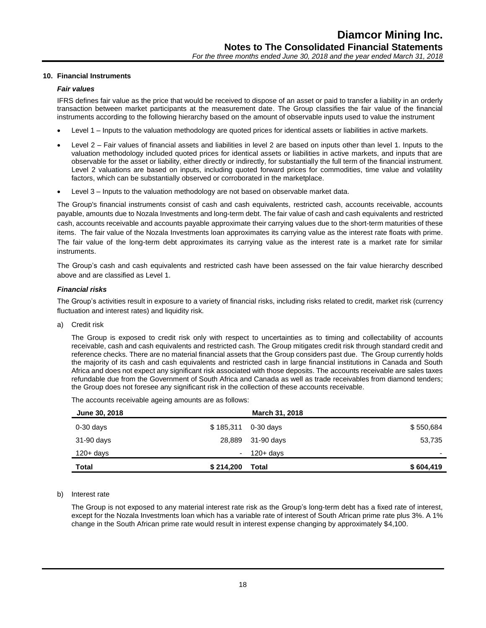# **10. Financial Instruments**

#### *Fair values*

IFRS defines fair value as the price that would be received to dispose of an asset or paid to transfer a liability in an orderly transaction between market participants at the measurement date. The Group classifies the fair value of the financial instruments according to the following hierarchy based on the amount of observable inputs used to value the instrument

- Level 1 Inputs to the valuation methodology are quoted prices for identical assets or liabilities in active markets.
- Level 2 Fair values of financial assets and liabilities in level 2 are based on inputs other than level 1. Inputs to the valuation methodology included quoted prices for identical assets or liabilities in active markets, and inputs that are observable for the asset or liability, either directly or indirectly, for substantially the full term of the financial instrument. Level 2 valuations are based on inputs, including quoted forward prices for commodities, time value and volatility factors, which can be substantially observed or corroborated in the marketplace.
- Level 3 Inputs to the valuation methodology are not based on observable market data.

The Group's financial instruments consist of cash and cash equivalents, restricted cash, accounts receivable, accounts payable, amounts due to Nozala Investments and long-term debt. The fair value of cash and cash equivalents and restricted cash, accounts receivable and accounts payable approximate their carrying values due to the short-term maturities of these items. The fair value of the Nozala Investments loan approximates its carrying value as the interest rate floats with prime. The fair value of the long-term debt approximates its carrying value as the interest rate is a market rate for similar instruments.

The Group's cash and cash equivalents and restricted cash have been assessed on the fair value hierarchy described above and are classified as Level 1.

#### *Financial risks*

The Group's activities result in exposure to a variety of financial risks, including risks related to credit, market risk (currency fluctuation and interest rates) and liquidity risk.

a) Credit risk

The Group is exposed to credit risk only with respect to uncertainties as to timing and collectability of accounts receivable, cash and cash equivalents and restricted cash. The Group mitigates credit risk through standard credit and reference checks. There are no material financial assets that the Group considers past due. The Group currently holds the majority of its cash and cash equivalents and restricted cash in large financial institutions in Canada and South Africa and does not expect any significant risk associated with those deposits. The accounts receivable are sales taxes refundable due from the Government of South Africa and Canada as well as trade receivables from diamond tenders; the Group does not foresee any significant risk in the collection of these accounts receivable.

The accounts receivable ageing amounts are as follows:

| June 30, 2018 |           | March 31, 2018       |           |
|---------------|-----------|----------------------|-----------|
| $0-30$ days   |           | $$185,311$ 0-30 days | \$550,684 |
| 31-90 days    | 28,889    | 31-90 days           | 53,735    |
| $120 + days$  | $\sim$    | $120 + days$         |           |
| <b>Total</b>  | \$214,200 | Total                | \$604,419 |

#### b) Interest rate

The Group is not exposed to any material interest rate risk as the Group's long-term debt has a fixed rate of interest, except for the Nozala Investments loan which has a variable rate of interest of South African prime rate plus 3%. A 1% change in the South African prime rate would result in interest expense changing by approximately \$4,100.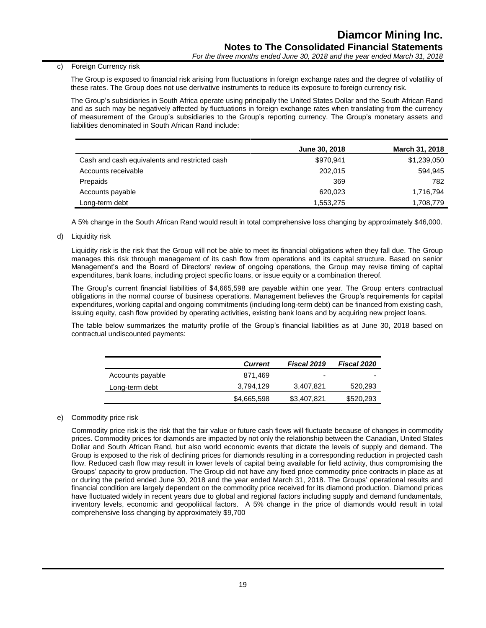# c) Foreign Currency risk

The Group is exposed to financial risk arising from fluctuations in foreign exchange rates and the degree of volatility of these rates. The Group does not use derivative instruments to reduce its exposure to foreign currency risk.

The Group's subsidiaries in South Africa operate using principally the United States Dollar and the South African Rand and as such may be negatively affected by fluctuations in foreign exchange rates when translating from the currency of measurement of the Group's subsidiaries to the Group's reporting currency. The Group's monetary assets and liabilities denominated in South African Rand include:

|                                               | June 30, 2018 | <b>March 31, 2018</b> |
|-----------------------------------------------|---------------|-----------------------|
| Cash and cash equivalents and restricted cash | \$970,941     | \$1,239,050           |
| Accounts receivable                           | 202,015       | 594,945               |
| Prepaids                                      | 369           | 782                   |
| Accounts payable                              | 620,023       | 1,716,794             |
| Long-term debt                                | 1,553,275     | 1,708,779             |

A 5% change in the South African Rand would result in total comprehensive loss changing by approximately \$46,000.

d) Liquidity risk

Liquidity risk is the risk that the Group will not be able to meet its financial obligations when they fall due. The Group manages this risk through management of its cash flow from operations and its capital structure. Based on senior Management's and the Board of Directors' review of ongoing operations, the Group may revise timing of capital expenditures, bank loans, including project specific loans, or issue equity or a combination thereof.

The Group's current financial liabilities of \$4,665,598 are payable within one year. The Group enters contractual obligations in the normal course of business operations. Management believes the Group's requirements for capital expenditures, working capital and ongoing commitments (including long-term debt) can be financed from existing cash, issuing equity, cash flow provided by operating activities, existing bank loans and by acquiring new project loans.

The table below summarizes the maturity profile of the Group's financial liabilities as at June 30, 2018 based on contractual undiscounted payments:

|                  | <b>Current</b> | Fiscal 2019 | <b>Fiscal 2020</b> |
|------------------|----------------|-------------|--------------------|
| Accounts payable | 871.469        | -           | -                  |
| Long-term debt   | 3.794.129      | 3,407,821   | 520,293            |
|                  | \$4,665,598    | \$3,407.821 | \$520,293          |

# e) Commodity price risk

Commodity price risk is the risk that the fair value or future cash flows will fluctuate because of changes in commodity prices. Commodity prices for diamonds are impacted by not only the relationship between the Canadian, United States Dollar and South African Rand, but also world economic events that dictate the levels of supply and demand. The Group is exposed to the risk of declining prices for diamonds resulting in a corresponding reduction in projected cash flow. Reduced cash flow may result in lower levels of capital being available for field activity, thus compromising the Groups' capacity to grow production. The Group did not have any fixed price commodity price contracts in place as at or during the period ended June 30, 2018 and the year ended March 31, 2018. The Groups' operational results and financial condition are largely dependent on the commodity price received for its diamond production. Diamond prices have fluctuated widely in recent years due to global and regional factors including supply and demand fundamentals, inventory levels, economic and geopolitical factors. A 5% change in the price of diamonds would result in total comprehensive loss changing by approximately \$9,700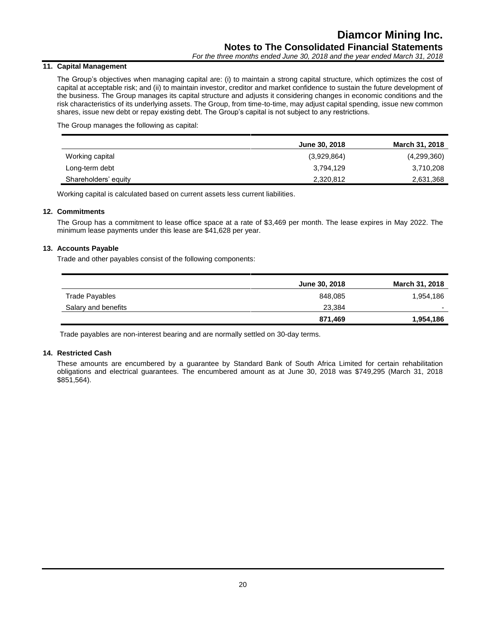# **11. Capital Management**

The Group's objectives when managing capital are: (i) to maintain a strong capital structure, which optimizes the cost of capital at acceptable risk; and (ii) to maintain investor, creditor and market confidence to sustain the future development of the business. The Group manages its capital structure and adjusts it considering changes in economic conditions and the risk characteristics of its underlying assets. The Group, from time-to-time, may adjust capital spending, issue new common shares, issue new debt or repay existing debt. The Group's capital is not subject to any restrictions.

The Group manages the following as capital:

|                      | June 30, 2018 | March 31, 2018 |
|----------------------|---------------|----------------|
| Working capital      | (3,929,864)   | (4,299,360)    |
| Long-term debt       | 3,794,129     | 3,710,208      |
| Shareholders' equity | 2,320,812     | 2,631,368      |

Working capital is calculated based on current assets less current liabilities.

# **12. Commitments**

The Group has a commitment to lease office space at a rate of \$3,469 per month. The lease expires in May 2022. The minimum lease payments under this lease are \$41,628 per year.

# **13. Accounts Payable**

Trade and other payables consist of the following components:

|                     | June 30, 2018 | <b>March 31, 2018</b> |
|---------------------|---------------|-----------------------|
| Trade Payables      | 848.085       | 1,954,186             |
| Salary and benefits | 23.384        |                       |
|                     | 871,469       | 1,954,186             |

Trade payables are non-interest bearing and are normally settled on 30-day terms.

# **14. Restricted Cash**

These amounts are encumbered by a guarantee by Standard Bank of South Africa Limited for certain rehabilitation obligations and electrical guarantees. The encumbered amount as at June 30, 2018 was \$749,295 (March 31, 2018 \$851,564).